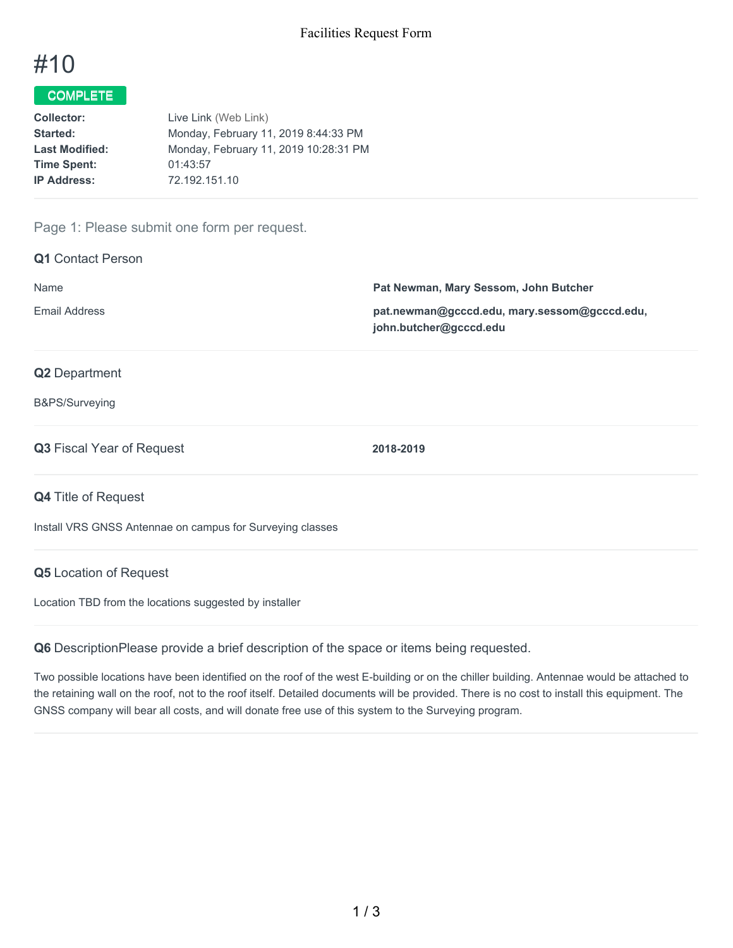# #10

# COMPLETE

| <b>Collector:</b>     | Live Link (Web Link)                  |
|-----------------------|---------------------------------------|
| Started:              | Monday, February 11, 2019 8:44:33 PM  |
| <b>Last Modified:</b> | Monday, February 11, 2019 10:28:31 PM |
| <b>Time Spent:</b>    | 01:43:57                              |
| <b>IP Address:</b>    | 72.192.151.10                         |

## Page 1: Please submit one form per request.

| <b>Q1</b> Contact Person                                  |                                                                        |  |
|-----------------------------------------------------------|------------------------------------------------------------------------|--|
| Name                                                      | Pat Newman, Mary Sessom, John Butcher                                  |  |
| <b>Email Address</b>                                      | pat.newman@gcccd.edu, mary.sessom@gcccd.edu,<br>john.butcher@gcccd.edu |  |
| <b>Q2</b> Department                                      |                                                                        |  |
| B&PS/Surveying                                            |                                                                        |  |
| <b>Q3</b> Fiscal Year of Request                          | 2018-2019                                                              |  |
| <b>Q4 Title of Request</b>                                |                                                                        |  |
| Install VRS GNSS Antennae on campus for Surveying classes |                                                                        |  |

#### **Q5** Location of Request

Location TBD from the locations suggested by installer

**Q6** DescriptionPlease provide a brief description of the space or items being requested.

Two possible locations have been identified on the roof of the west E-building or on the chiller building. Antennae would be attached to the retaining wall on the roof, not to the roof itself. Detailed documents will be provided. There is no cost to install this equipment. The GNSS company will bear all costs, and will donate free use of this system to the Surveying program.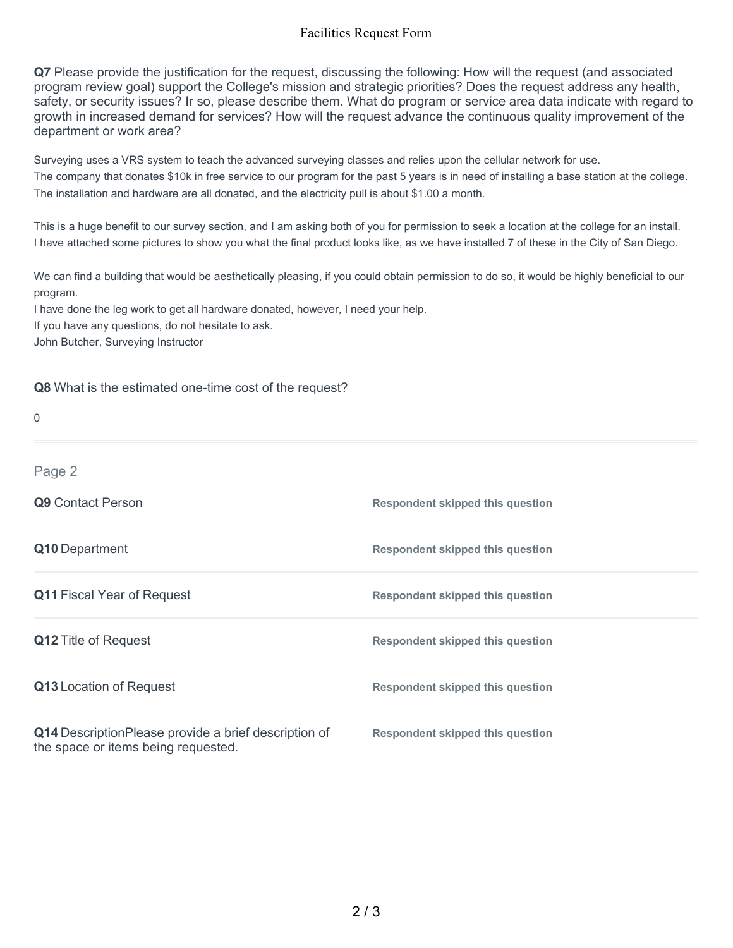## Facilities Request Form

**Q7** Please provide the justification for the request, discussing the following: How will the request (and associated program review goal) support the College's mission and strategic priorities? Does the request address any health, safety, or security issues? Ir so, please describe them. What do program or service area data indicate with regard to growth in increased demand for services? How will the request advance the continuous quality improvement of the department or work area?

Surveying uses a VRS system to teach the advanced surveying classes and relies upon the cellular network for use. The company that donates \$10k in free service to our program for the past 5 years is in need of installing a base station at the college. The installation and hardware are all donated, and the electricity pull is about \$1.00 a month.

This is a huge benefit to our survey section, and I am asking both of you for permission to seek a location at the college for an install. I have attached some pictures to show you what the final product looks like, as we have installed 7 of these in the City of San Diego.

We can find a building that would be aesthetically pleasing, if you could obtain permission to do so, it would be highly beneficial to our program.

I have done the leg work to get all hardware donated, however, I need your help.

If you have any questions, do not hesitate to ask.

John Butcher, Surveying Instructor

#### **Q8** What is the estimated one-time cost of the request?

| 0                                                                                           |                                         |
|---------------------------------------------------------------------------------------------|-----------------------------------------|
| Page 2                                                                                      |                                         |
| Q9 Contact Person                                                                           | <b>Respondent skipped this question</b> |
| Q10 Department                                                                              | <b>Respondent skipped this question</b> |
| <b>Q11 Fiscal Year of Request</b>                                                           | <b>Respondent skipped this question</b> |
| <b>Q12 Title of Request</b>                                                                 | <b>Respondent skipped this question</b> |
| Q13 Location of Request                                                                     | <b>Respondent skipped this question</b> |
| Q14 DescriptionPlease provide a brief description of<br>the space or items being requested. | <b>Respondent skipped this question</b> |